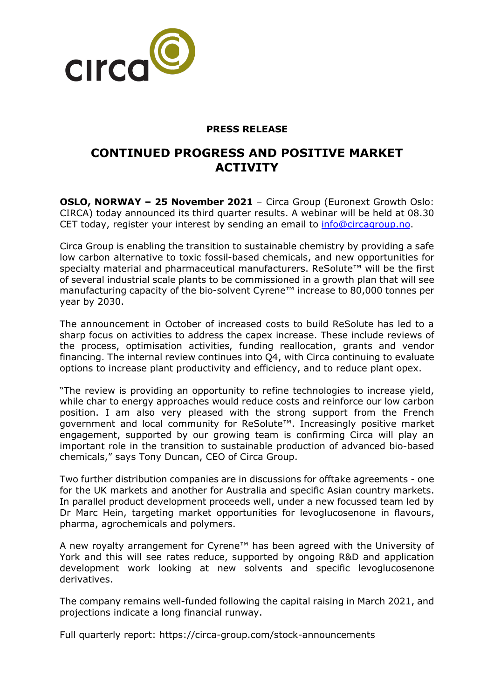

### **PRESS RELEASE**

# **CONTINUED PROGRESS AND POSITIVE MARKET ACTIVITY**

**OSLO, NORWAY – 25 November 2021** – Circa Group (Euronext Growth Oslo: CIRCA) today announced its third quarter results. A webinar will be held at 08.30 CET today, register your interest by sending an email to **info@circagroup.no.** 

Circa Group is enabling the transition to sustainable chemistry by providing a safe low carbon alternative to toxic fossil-based chemicals, and new opportunities for specialty material and pharmaceutical manufacturers. ReSolute™ will be the first of several industrial scale plants to be commissioned in a growth plan that will see manufacturing capacity of the bio-solvent Cyrene™ increase to 80,000 tonnes per year by 2030.

The announcement in October of increased costs to build ReSolute has led to a sharp focus on activities to address the capex increase. These include reviews of the process, optimisation activities, funding reallocation, grants and vendor financing. The internal review continues into Q4, with Circa continuing to evaluate options to increase plant productivity and efficiency, and to reduce plant opex.

"The review is providing an opportunity to refine technologies to increase yield, while char to energy approaches would reduce costs and reinforce our low carbon position. I am also very pleased with the strong support from the French government and local community for ReSolute™. Increasingly positive market engagement, supported by our growing team is confirming Circa will play an important role in the transition to sustainable production of advanced bio-based chemicals," says Tony Duncan, CEO of Circa Group.

Two further distribution companies are in discussions for offtake agreements - one for the UK markets and another for Australia and specific Asian country markets. In parallel product development proceeds well, under a new focussed team led by Dr Marc Hein, targeting market opportunities for levoglucosenone in flavours, pharma, agrochemicals and polymers.

A new royalty arrangement for Cyrene™ has been agreed with the University of York and this will see rates reduce, supported by ongoing R&D and application development work looking at new solvents and specific levoglucosenone derivatives.

The company remains well-funded following the capital raising in March 2021, and projections indicate a long financial runway.

Full quarterly report: https://circa-group.com/stock-announcements